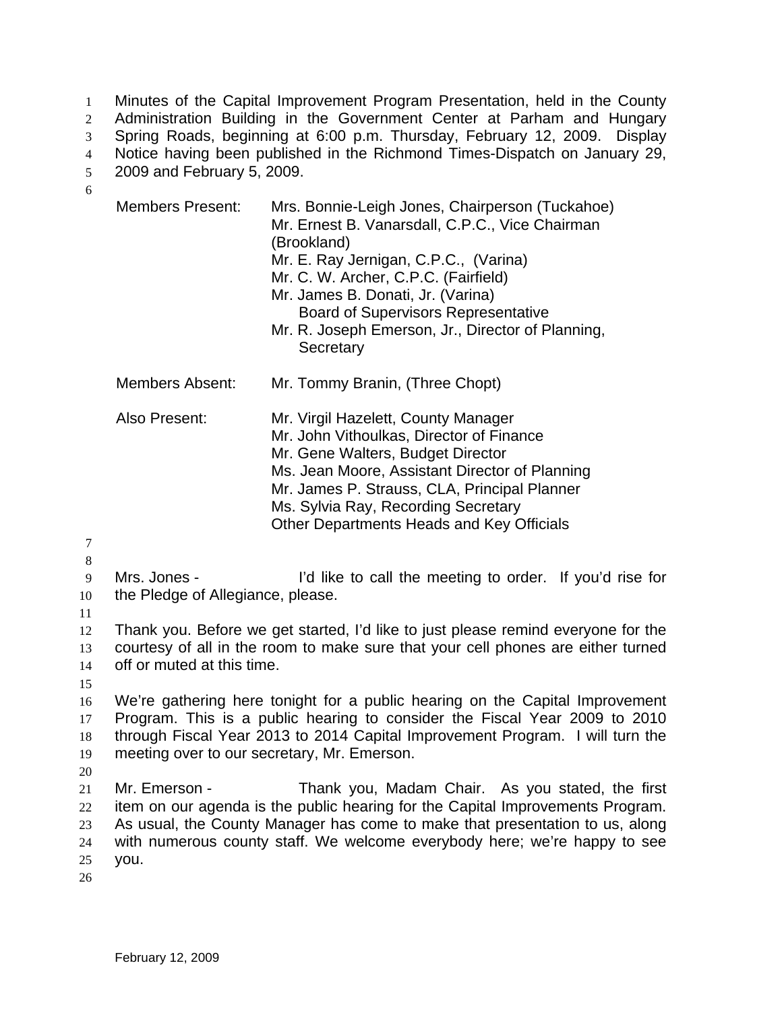Minutes of the Capital Improvement Program Presentation, held in the County 1

Administration Building in the Government Center at Parham and Hungary 2

Spring Roads, beginning at 6:00 p.m. Thursday, February 12, 2009. Display 3

Notice having been published in the Richmond Times-Dispatch on January 29, 4

2009 and February 5, 2009. 5

6

| <b>Members Present:</b>                                                                                                                                                                             | Mrs. Bonnie-Leigh Jones, Chairperson (Tuckahoe)<br>Mr. Ernest B. Vanarsdall, C.P.C., Vice Chairman<br>(Brookland)<br>Mr. E. Ray Jernigan, C.P.C., (Varina)<br>Mr. C. W. Archer, C.P.C. (Fairfield)<br>Mr. James B. Donati, Jr. (Varina)<br><b>Board of Supervisors Representative</b><br>Mr. R. Joseph Emerson, Jr., Director of Planning,<br>Secretary |  |
|-----------------------------------------------------------------------------------------------------------------------------------------------------------------------------------------------------|---------------------------------------------------------------------------------------------------------------------------------------------------------------------------------------------------------------------------------------------------------------------------------------------------------------------------------------------------------|--|
| Members Absent:                                                                                                                                                                                     | Mr. Tommy Branin, (Three Chopt)                                                                                                                                                                                                                                                                                                                         |  |
| Also Present:                                                                                                                                                                                       | Mr. Virgil Hazelett, County Manager<br>Mr. John Vithoulkas, Director of Finance<br>Mr. Gene Walters, Budget Director<br>Ms. Jean Moore, Assistant Director of Planning<br>Mr. James P. Strauss, CLA, Principal Planner<br>Ms. Sylvia Ray, Recording Secretary<br>Other Departments Heads and Key Officials                                              |  |
| Mrs. Jones -<br>I'd like to call the meeting to order. If you'd rise for<br>the Pledge of Allegiance, please.                                                                                       |                                                                                                                                                                                                                                                                                                                                                         |  |
| Thank you. Before we get started, I'd like to just please remind everyone for the<br>courtesy of all in the room to make sure that your cell phones are either turned<br>off or muted at this time. |                                                                                                                                                                                                                                                                                                                                                         |  |

14 15

16 17 18 19 We're gathering here tonight for a public hearing on the Capital Improvement Program. This is a public hearing to consider the Fiscal Year 2009 to 2010 through Fiscal Year 2013 to 2014 Capital Improvement Program. I will turn the meeting over to our secretary, Mr. Emerson.

20

21 22 23 24 25 Mr. Emerson - Thank you, Madam Chair. As you stated, the first item on our agenda is the public hearing for the Capital Improvements Program. As usual, the County Manager has come to make that presentation to us, along with numerous county staff. We welcome everybody here; we're happy to see you.

26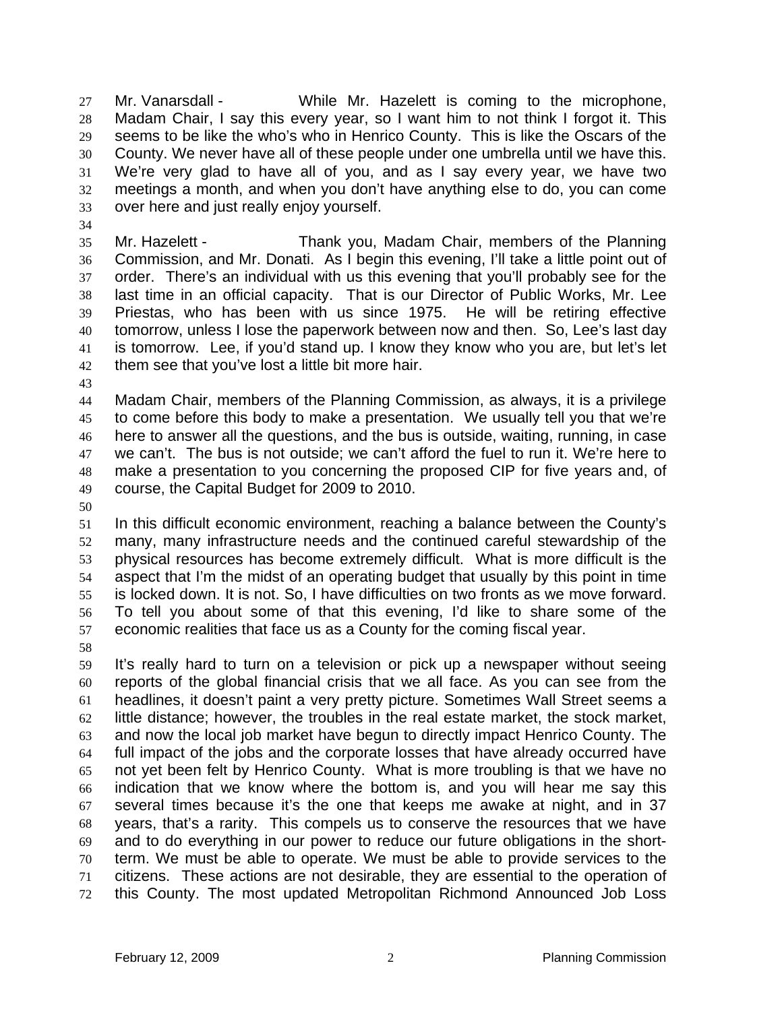Mr. Vanarsdall - While Mr. Hazelett is coming to the microphone, Madam Chair, I say this every year, so I want him to not think I forgot it. This seems to be like the who's who in Henrico County. This is like the Oscars of the County. We never have all of these people under one umbrella until we have this. We're very glad to have all of you, and as I say every year, we have two meetings a month, and when you don't have anything else to do, you can come over here and just really enjoy yourself. 27 28 29 30 31 32 33

34

35 36 37 38 39 40 41 42 Mr. Hazelett - Thank you, Madam Chair, members of the Planning Commission, and Mr. Donati. As I begin this evening, I'll take a little point out of order. There's an individual with us this evening that you'll probably see for the last time in an official capacity. That is our Director of Public Works, Mr. Lee Priestas, who has been with us since 1975. He will be retiring effective tomorrow, unless I lose the paperwork between now and then. So, Lee's last day is tomorrow. Lee, if you'd stand up. I know they know who you are, but let's let them see that you've lost a little bit more hair.

43

44 45 46 47 48 49 Madam Chair, members of the Planning Commission, as always, it is a privilege to come before this body to make a presentation. We usually tell you that we're here to answer all the questions, and the bus is outside, waiting, running, in case we can't. The bus is not outside; we can't afford the fuel to run it. We're here to make a presentation to you concerning the proposed CIP for five years and, of course, the Capital Budget for 2009 to 2010.

50

51 52 53 54 55 56 57 In this difficult economic environment, reaching a balance between the County's many, many infrastructure needs and the continued careful stewardship of the physical resources has become extremely difficult. What is more difficult is the aspect that I'm the midst of an operating budget that usually by this point in time is locked down. It is not. So, I have difficulties on two fronts as we move forward. To tell you about some of that this evening, I'd like to share some of the economic realities that face us as a County for the coming fiscal year.

58

59 60 61 62 63 64 65 66 67 68 69 70 71 72 It's really hard to turn on a television or pick up a newspaper without seeing reports of the global financial crisis that we all face. As you can see from the headlines, it doesn't paint a very pretty picture. Sometimes Wall Street seems a little distance; however, the troubles in the real estate market, the stock market, and now the local job market have begun to directly impact Henrico County. The full impact of the jobs and the corporate losses that have already occurred have not yet been felt by Henrico County. What is more troubling is that we have no indication that we know where the bottom is, and you will hear me say this several times because it's the one that keeps me awake at night, and in 37 years, that's a rarity. This compels us to conserve the resources that we have and to do everything in our power to reduce our future obligations in the shortterm. We must be able to operate. We must be able to provide services to the citizens. These actions are not desirable, they are essential to the operation of this County. The most updated Metropolitan Richmond Announced Job Loss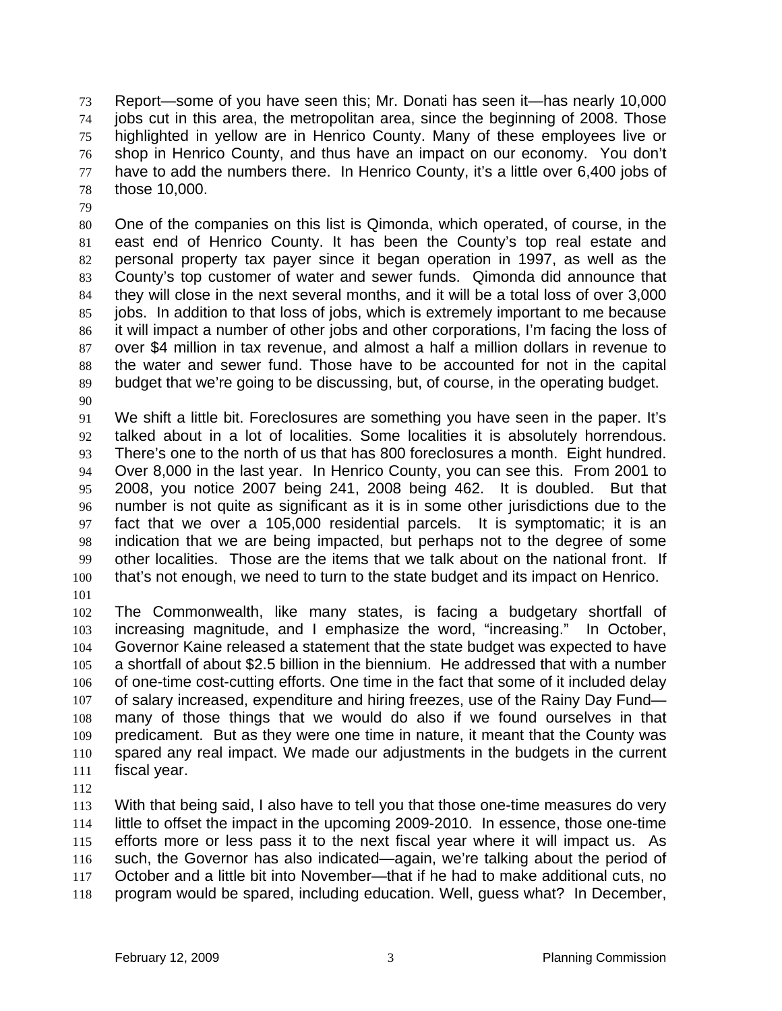Report—some of you have seen this; Mr. Donati has seen it—has nearly 10,000 jobs cut in this area, the metropolitan area, since the beginning of 2008. Those highlighted in yellow are in Henrico County. Many of these employees live or shop in Henrico County, and thus have an impact on our economy. You don't have to add the numbers there. In Henrico County, it's a little over 6,400 jobs of those 10,000. 73 74 75 76 77 78

79

80 81 82 83 84 85 86 87 88 89 90 One of the companies on this list is Qimonda, which operated, of course, in the east end of Henrico County. It has been the County's top real estate and personal property tax payer since it began operation in 1997, as well as the County's top customer of water and sewer funds. Qimonda did announce that they will close in the next several months, and it will be a total loss of over 3,000 jobs. In addition to that loss of jobs, which is extremely important to me because it will impact a number of other jobs and other corporations, I'm facing the loss of over \$4 million in tax revenue, and almost a half a million dollars in revenue to the water and sewer fund. Those have to be accounted for not in the capital budget that we're going to be discussing, but, of course, in the operating budget.

91 92 93 94 95 96 97 98 99 100 We shift a little bit. Foreclosures are something you have seen in the paper. It's talked about in a lot of localities. Some localities it is absolutely horrendous. There's one to the north of us that has 800 foreclosures a month. Eight hundred. Over 8,000 in the last year. In Henrico County, you can see this. From 2001 to 2008, you notice 2007 being 241, 2008 being 462. It is doubled. But that number is not quite as significant as it is in some other jurisdictions due to the fact that we over a 105,000 residential parcels. It is symptomatic; it is an indication that we are being impacted, but perhaps not to the degree of some other localities. Those are the items that we talk about on the national front. If that's not enough, we need to turn to the state budget and its impact on Henrico.

101

102 103 104 105 106 107 108 109 110 111 The Commonwealth, like many states, is facing a budgetary shortfall of increasing magnitude, and I emphasize the word, "increasing." In October, Governor Kaine released a statement that the state budget was expected to have a shortfall of about \$2.5 billion in the biennium. He addressed that with a number of one-time cost-cutting efforts. One time in the fact that some of it included delay of salary increased, expenditure and hiring freezes, use of the Rainy Day Fund many of those things that we would do also if we found ourselves in that predicament. But as they were one time in nature, it meant that the County was spared any real impact. We made our adjustments in the budgets in the current fiscal year.

112

113 114 115 116 117 118 With that being said, I also have to tell you that those one-time measures do very little to offset the impact in the upcoming 2009-2010. In essence, those one-time efforts more or less pass it to the next fiscal year where it will impact us. As such, the Governor has also indicated—again, we're talking about the period of October and a little bit into November—that if he had to make additional cuts, no program would be spared, including education. Well, guess what? In December,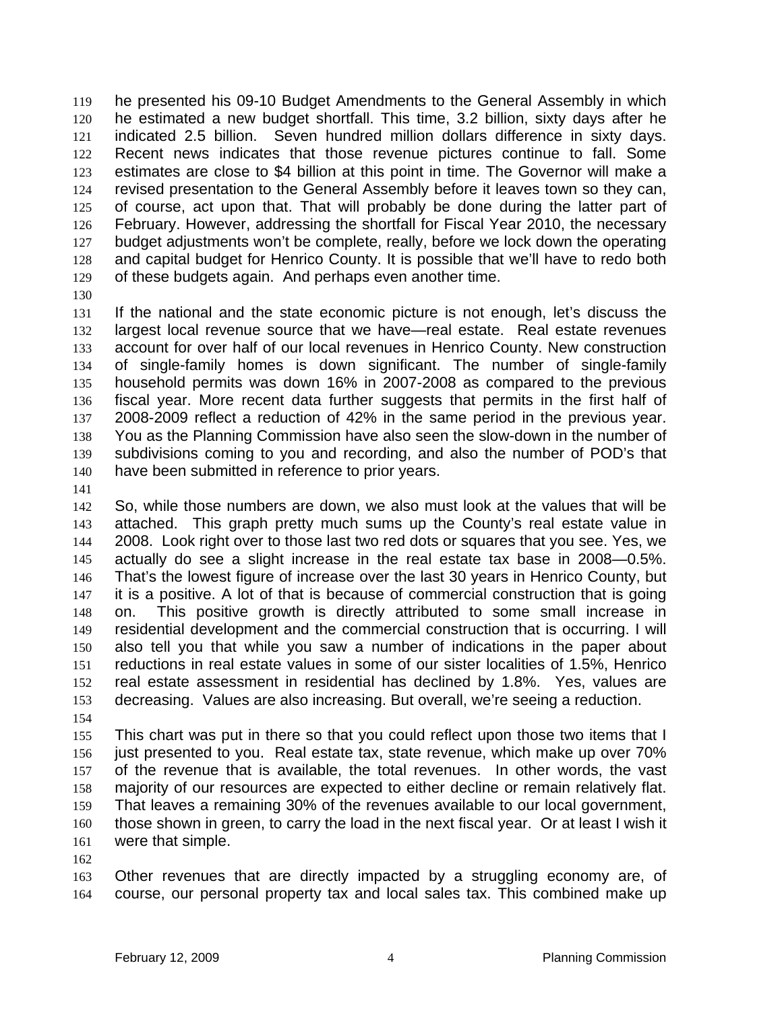he presented his 09-10 Budget Amendments to the General Assembly in which he estimated a new budget shortfall. This time, 3.2 billion, sixty days after he indicated 2.5 billion. Seven hundred million dollars difference in sixty days. Recent news indicates that those revenue pictures continue to fall. Some estimates are close to \$4 billion at this point in time. The Governor will make a revised presentation to the General Assembly before it leaves town so they can, of course, act upon that. That will probably be done during the latter part of February. However, addressing the shortfall for Fiscal Year 2010, the necessary budget adjustments won't be complete, really, before we lock down the operating and capital budget for Henrico County. It is possible that we'll have to redo both of these budgets again. And perhaps even another time. 119 120 121 122 123 124 125 126 127 128 129

130

131 132 133 134 135 136 137 138 139 140 If the national and the state economic picture is not enough, let's discuss the largest local revenue source that we have—real estate. Real estate revenues account for over half of our local revenues in Henrico County. New construction of single-family homes is down significant. The number of single-family household permits was down 16% in 2007-2008 as compared to the previous fiscal year. More recent data further suggests that permits in the first half of 2008-2009 reflect a reduction of 42% in the same period in the previous year. You as the Planning Commission have also seen the slow-down in the number of subdivisions coming to you and recording, and also the number of POD's that have been submitted in reference to prior years.

141

142 143 144 145 146 147 148 149 150 151 152 153 So, while those numbers are down, we also must look at the values that will be attached. This graph pretty much sums up the County's real estate value in 2008. Look right over to those last two red dots or squares that you see. Yes, we actually do see a slight increase in the real estate tax base in 2008—0.5%. That's the lowest figure of increase over the last 30 years in Henrico County, but it is a positive. A lot of that is because of commercial construction that is going on. This positive growth is directly attributed to some small increase in residential development and the commercial construction that is occurring. I will also tell you that while you saw a number of indications in the paper about reductions in real estate values in some of our sister localities of 1.5%, Henrico real estate assessment in residential has declined by 1.8%. Yes, values are decreasing. Values are also increasing. But overall, we're seeing a reduction.

154

155 156 157 158 159 160 161 This chart was put in there so that you could reflect upon those two items that I just presented to you. Real estate tax, state revenue, which make up over 70% of the revenue that is available, the total revenues. In other words, the vast majority of our resources are expected to either decline or remain relatively flat. That leaves a remaining 30% of the revenues available to our local government, those shown in green, to carry the load in the next fiscal year. Or at least I wish it were that simple.

162

163 164 Other revenues that are directly impacted by a struggling economy are, of course, our personal property tax and local sales tax. This combined make up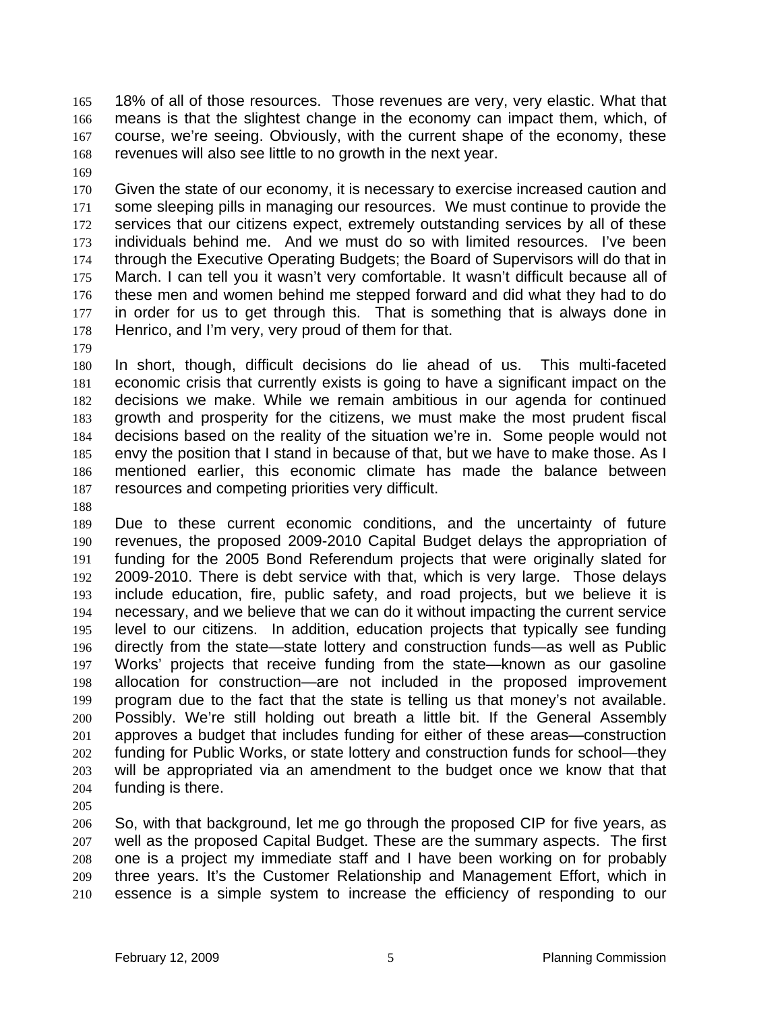18% of all of those resources. Those revenues are very, very elastic. What that means is that the slightest change in the economy can impact them, which, of course, we're seeing. Obviously, with the current shape of the economy, these revenues will also see little to no growth in the next year. 165 166 167 168

169

170 171 172 173 174 175 176 177 178 Given the state of our economy, it is necessary to exercise increased caution and some sleeping pills in managing our resources. We must continue to provide the services that our citizens expect, extremely outstanding services by all of these individuals behind me. And we must do so with limited resources. I've been through the Executive Operating Budgets; the Board of Supervisors will do that in March. I can tell you it wasn't very comfortable. It wasn't difficult because all of these men and women behind me stepped forward and did what they had to do in order for us to get through this. That is something that is always done in Henrico, and I'm very, very proud of them for that.

179

180 181 182 183 184 185 186 187 In short, though, difficult decisions do lie ahead of us. This multi-faceted economic crisis that currently exists is going to have a significant impact on the decisions we make. While we remain ambitious in our agenda for continued growth and prosperity for the citizens, we must make the most prudent fiscal decisions based on the reality of the situation we're in. Some people would not envy the position that I stand in because of that, but we have to make those. As I mentioned earlier, this economic climate has made the balance between resources and competing priorities very difficult.

188

189 190 191 192 193 194 195 196 197 198 199 200 201 202 203 204 Due to these current economic conditions, and the uncertainty of future revenues, the proposed 2009-2010 Capital Budget delays the appropriation of funding for the 2005 Bond Referendum projects that were originally slated for 2009-2010. There is debt service with that, which is very large. Those delays include education, fire, public safety, and road projects, but we believe it is necessary, and we believe that we can do it without impacting the current service level to our citizens. In addition, education projects that typically see funding directly from the state—state lottery and construction funds—as well as Public Works' projects that receive funding from the state—known as our gasoline allocation for construction—are not included in the proposed improvement program due to the fact that the state is telling us that money's not available. Possibly. We're still holding out breath a little bit. If the General Assembly approves a budget that includes funding for either of these areas—construction funding for Public Works, or state lottery and construction funds for school—they will be appropriated via an amendment to the budget once we know that that funding is there.

205

206 207 208 209 210 So, with that background, let me go through the proposed CIP for five years, as well as the proposed Capital Budget. These are the summary aspects. The first one is a project my immediate staff and I have been working on for probably three years. It's the Customer Relationship and Management Effort, which in essence is a simple system to increase the efficiency of responding to our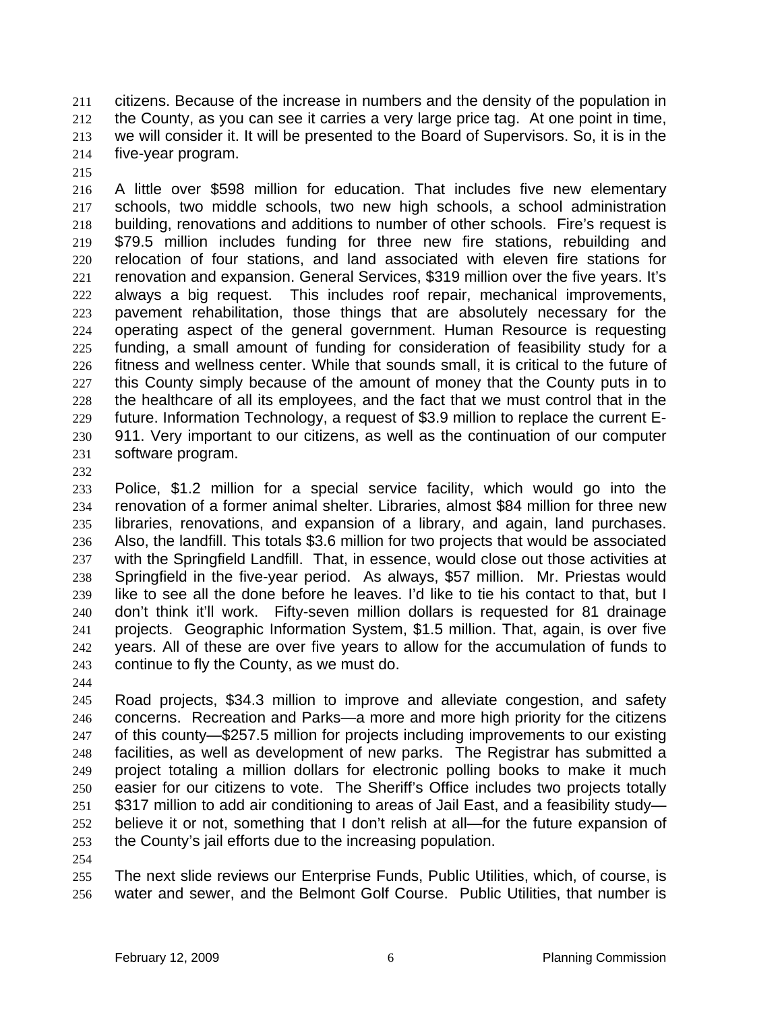citizens. Because of the increase in numbers and the density of the population in the County, as you can see it carries a very large price tag. At one point in time, we will consider it. It will be presented to the Board of Supervisors. So, it is in the five-year program. 211 212 213 214

215

216 217 218 219 220 221 222 223 224 225 226 227 228 229 230 231 A little over \$598 million for education. That includes five new elementary schools, two middle schools, two new high schools, a school administration building, renovations and additions to number of other schools. Fire's request is \$79.5 million includes funding for three new fire stations, rebuilding and relocation of four stations, and land associated with eleven fire stations for renovation and expansion. General Services, \$319 million over the five years. It's always a big request. This includes roof repair, mechanical improvements, pavement rehabilitation, those things that are absolutely necessary for the operating aspect of the general government. Human Resource is requesting funding, a small amount of funding for consideration of feasibility study for a fitness and wellness center. While that sounds small, it is critical to the future of this County simply because of the amount of money that the County puts in to the healthcare of all its employees, and the fact that we must control that in the future. Information Technology, a request of \$3.9 million to replace the current E-911. Very important to our citizens, as well as the continuation of our computer software program.

232

233 234 235 236 237 238 239 240 241 242 243 Police, \$1.2 million for a special service facility, which would go into the renovation of a former animal shelter. Libraries, almost \$84 million for three new libraries, renovations, and expansion of a library, and again, land purchases. Also, the landfill. This totals \$3.6 million for two projects that would be associated with the Springfield Landfill. That, in essence, would close out those activities at Springfield in the five-year period. As always, \$57 million. Mr. Priestas would like to see all the done before he leaves. I'd like to tie his contact to that, but I don't think it'll work. Fifty-seven million dollars is requested for 81 drainage projects. Geographic Information System, \$1.5 million. That, again, is over five years. All of these are over five years to allow for the accumulation of funds to continue to fly the County, as we must do.

244

245 246 247 248 249 250 251 252 253 Road projects, \$34.3 million to improve and alleviate congestion, and safety concerns. Recreation and Parks—a more and more high priority for the citizens of this county—\$257.5 million for projects including improvements to our existing facilities, as well as development of new parks. The Registrar has submitted a project totaling a million dollars for electronic polling books to make it much easier for our citizens to vote. The Sheriff's Office includes two projects totally \$317 million to add air conditioning to areas of Jail East, and a feasibility study believe it or not, something that I don't relish at all—for the future expansion of the County's jail efforts due to the increasing population.

254

255 256 The next slide reviews our Enterprise Funds, Public Utilities, which, of course, is water and sewer, and the Belmont Golf Course. Public Utilities, that number is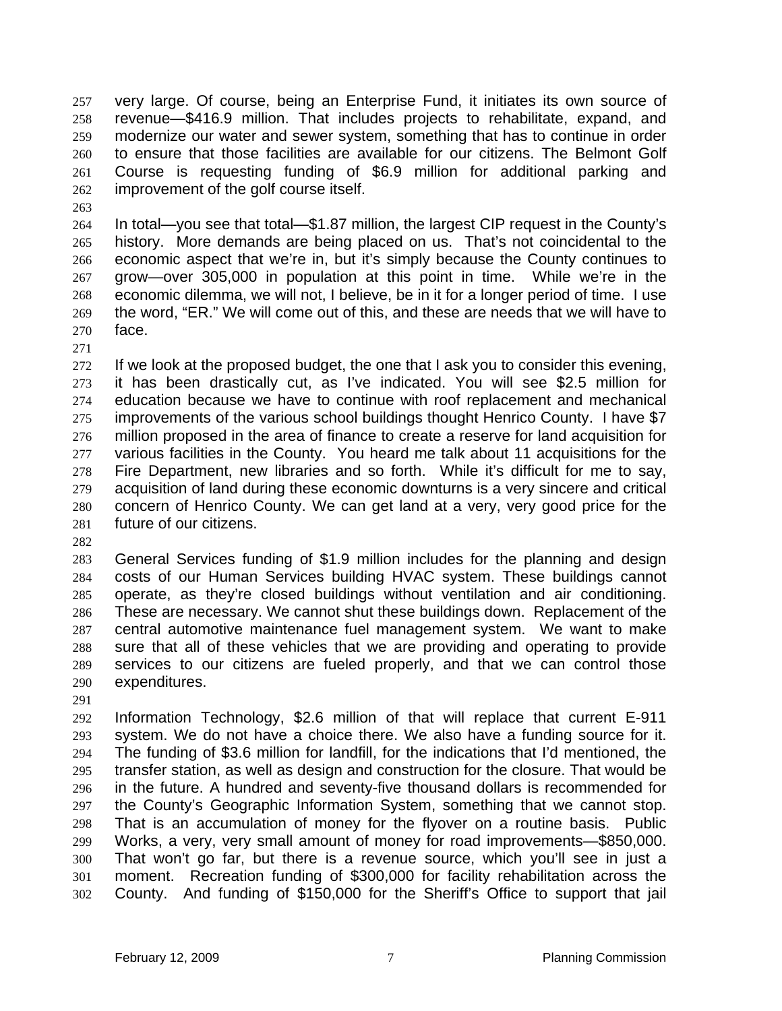very large. Of course, being an Enterprise Fund, it initiates its own source of revenue—\$416.9 million. That includes projects to rehabilitate, expand, and modernize our water and sewer system, something that has to continue in order to ensure that those facilities are available for our citizens. The Belmont Golf Course is requesting funding of \$6.9 million for additional parking and improvement of the golf course itself. 257 258 259 260 261 262

263

264 265 266 267 268 269 270 In total—you see that total—\$1.87 million, the largest CIP request in the County's history. More demands are being placed on us. That's not coincidental to the economic aspect that we're in, but it's simply because the County continues to grow—over 305,000 in population at this point in time. While we're in the economic dilemma, we will not, I believe, be in it for a longer period of time. I use the word, "ER." We will come out of this, and these are needs that we will have to face.

271

272 273 274 275 276 277 278 279 280 281 If we look at the proposed budget, the one that I ask you to consider this evening, it has been drastically cut, as I've indicated. You will see \$2.5 million for education because we have to continue with roof replacement and mechanical improvements of the various school buildings thought Henrico County. I have \$7 million proposed in the area of finance to create a reserve for land acquisition for various facilities in the County. You heard me talk about 11 acquisitions for the Fire Department, new libraries and so forth. While it's difficult for me to say, acquisition of land during these economic downturns is a very sincere and critical concern of Henrico County. We can get land at a very, very good price for the future of our citizens.

282

283 284 285 286 287 288 289 290 General Services funding of \$1.9 million includes for the planning and design costs of our Human Services building HVAC system. These buildings cannot operate, as they're closed buildings without ventilation and air conditioning. These are necessary. We cannot shut these buildings down. Replacement of the central automotive maintenance fuel management system. We want to make sure that all of these vehicles that we are providing and operating to provide services to our citizens are fueled properly, and that we can control those expenditures.

291

292 293 294 295 296 297 298 299 300 301 302 Information Technology, \$2.6 million of that will replace that current E-911 system. We do not have a choice there. We also have a funding source for it. The funding of \$3.6 million for landfill, for the indications that I'd mentioned, the transfer station, as well as design and construction for the closure. That would be in the future. A hundred and seventy-five thousand dollars is recommended for the County's Geographic Information System, something that we cannot stop. That is an accumulation of money for the flyover on a routine basis. Public Works, a very, very small amount of money for road improvements—\$850,000. That won't go far, but there is a revenue source, which you'll see in just a moment. Recreation funding of \$300,000 for facility rehabilitation across the County. And funding of \$150,000 for the Sheriff's Office to support that jail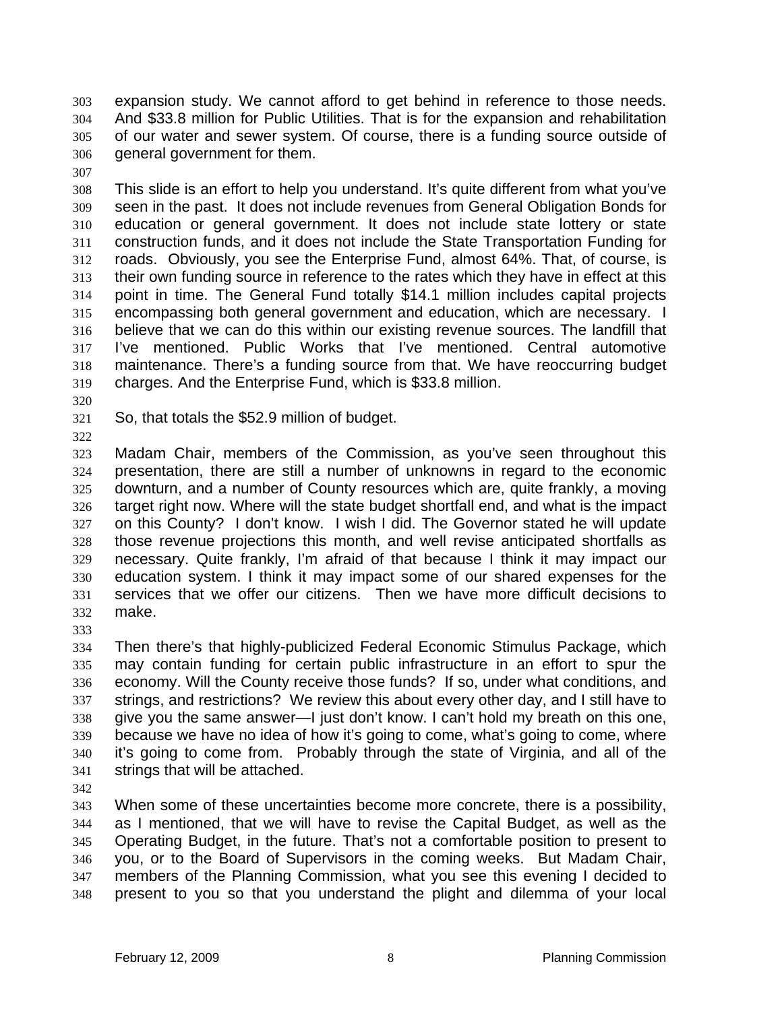expansion study. We cannot afford to get behind in reference to those needs. And \$33.8 million for Public Utilities. That is for the expansion and rehabilitation of our water and sewer system. Of course, there is a funding source outside of general government for them. 303 304 305 306

307

308 309 310 311 312 313 314 315 316 317 318 319 This slide is an effort to help you understand. It's quite different from what you've seen in the past. It does not include revenues from General Obligation Bonds for education or general government. It does not include state lottery or state construction funds, and it does not include the State Transportation Funding for roads. Obviously, you see the Enterprise Fund, almost 64%. That, of course, is their own funding source in reference to the rates which they have in effect at this point in time. The General Fund totally \$14.1 million includes capital projects encompassing both general government and education, which are necessary. I believe that we can do this within our existing revenue sources. The landfill that I've mentioned. Public Works that I've mentioned. Central automotive maintenance. There's a funding source from that. We have reoccurring budget charges. And the Enterprise Fund, which is \$33.8 million.

- 320
- 321 So, that totals the \$52.9 million of budget.
- 322

323 324 325 326 327 328 329 330 331 332 Madam Chair, members of the Commission, as you've seen throughout this presentation, there are still a number of unknowns in regard to the economic downturn, and a number of County resources which are, quite frankly, a moving target right now. Where will the state budget shortfall end, and what is the impact on this County? I don't know. I wish I did. The Governor stated he will update those revenue projections this month, and well revise anticipated shortfalls as necessary. Quite frankly, I'm afraid of that because I think it may impact our education system. I think it may impact some of our shared expenses for the services that we offer our citizens. Then we have more difficult decisions to make.

333

334 335 336 337 338 339 340 341 Then there's that highly-publicized Federal Economic Stimulus Package, which may contain funding for certain public infrastructure in an effort to spur the economy. Will the County receive those funds? If so, under what conditions, and strings, and restrictions? We review this about every other day, and I still have to give you the same answer—I just don't know. I can't hold my breath on this one, because we have no idea of how it's going to come, what's going to come, where it's going to come from. Probably through the state of Virginia, and all of the strings that will be attached.

342

343 344 345 346 347 348 When some of these uncertainties become more concrete, there is a possibility, as I mentioned, that we will have to revise the Capital Budget, as well as the Operating Budget, in the future. That's not a comfortable position to present to you, or to the Board of Supervisors in the coming weeks. But Madam Chair, members of the Planning Commission, what you see this evening I decided to present to you so that you understand the plight and dilemma of your local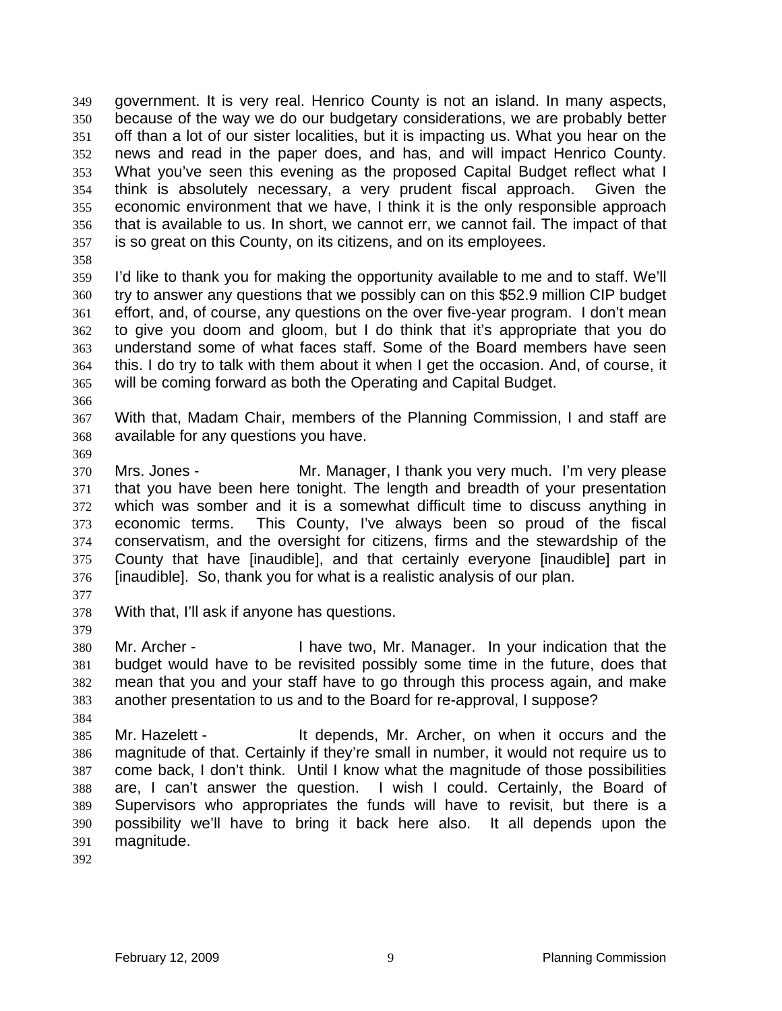government. It is very real. Henrico County is not an island. In many aspects, because of the way we do our budgetary considerations, we are probably better off than a lot of our sister localities, but it is impacting us. What you hear on the news and read in the paper does, and has, and will impact Henrico County. What you've seen this evening as the proposed Capital Budget reflect what I think is absolutely necessary, a very prudent fiscal approach. Given the economic environment that we have, I think it is the only responsible approach that is available to us. In short, we cannot err, we cannot fail. The impact of that is so great on this County, on its citizens, and on its employees. 349 350 351 352 353 354 355 356 357

358

359 360 361 362 363 364 365 I'd like to thank you for making the opportunity available to me and to staff. We'll try to answer any questions that we possibly can on this \$52.9 million CIP budget effort, and, of course, any questions on the over five-year program. I don't mean to give you doom and gloom, but I do think that it's appropriate that you do understand some of what faces staff. Some of the Board members have seen this. I do try to talk with them about it when I get the occasion. And, of course, it will be coming forward as both the Operating and Capital Budget.

366

367 368 With that, Madam Chair, members of the Planning Commission, I and staff are available for any questions you have.

369

370 371 372 373 374 375 376 Mrs. Jones - The Mr. Manager, I thank you very much. I'm very please that you have been here tonight. The length and breadth of your presentation which was somber and it is a somewhat difficult time to discuss anything in economic terms. This County, I've always been so proud of the fiscal conservatism, and the oversight for citizens, firms and the stewardship of the County that have [inaudible], and that certainly everyone [inaudible] part in [inaudible]. So, thank you for what is a realistic analysis of our plan.

377

379

384

378 With that, I'll ask if anyone has questions.

380 381 382 383 Mr. Archer - Thave two, Mr. Manager. In your indication that the budget would have to be revisited possibly some time in the future, does that mean that you and your staff have to go through this process again, and make another presentation to us and to the Board for re-approval, I suppose?

385 386 387 388 389 390 391 Mr. Hazelett - It depends, Mr. Archer, on when it occurs and the magnitude of that. Certainly if they're small in number, it would not require us to come back, I don't think. Until I know what the magnitude of those possibilities are, I can't answer the question. I wish I could. Certainly, the Board of Supervisors who appropriates the funds will have to revisit, but there is a possibility we'll have to bring it back here also. It all depends upon the magnitude.

392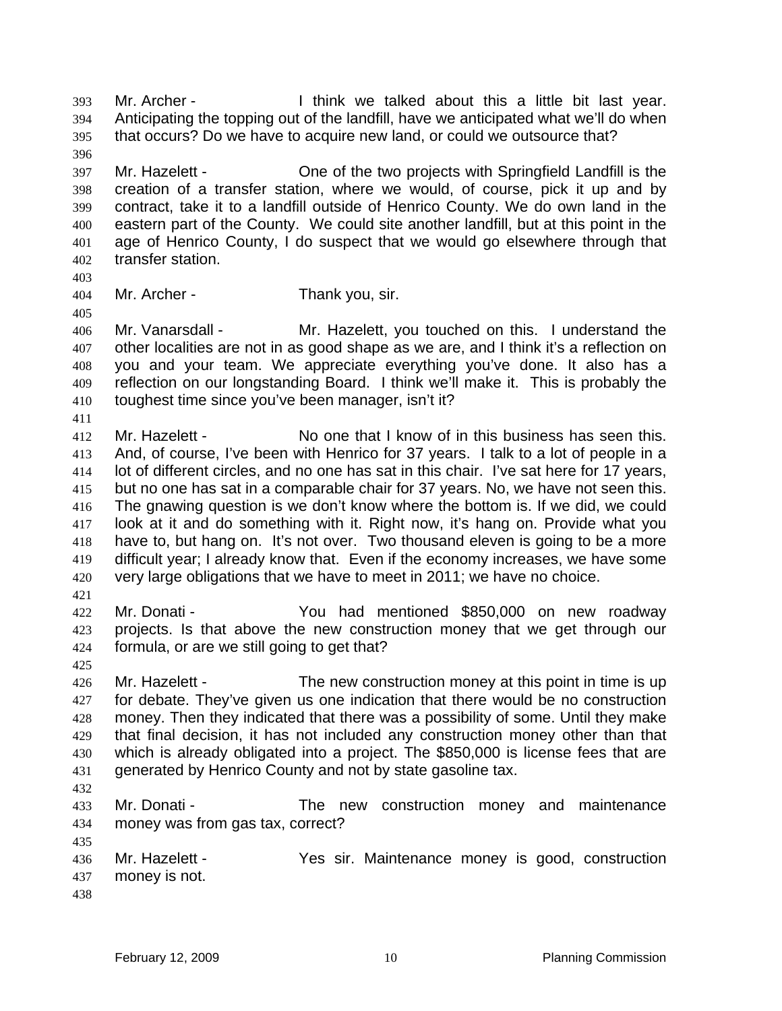Mr. Archer - I think we talked about this a little bit last year. Anticipating the topping out of the landfill, have we anticipated what we'll do when that occurs? Do we have to acquire new land, or could we outsource that? 393 394 395 396

397 398 399 400 401 402 Mr. Hazelett - One of the two projects with Springfield Landfill is the creation of a transfer station, where we would, of course, pick it up and by contract, take it to a landfill outside of Henrico County. We do own land in the eastern part of the County. We could site another landfill, but at this point in the age of Henrico County, I do suspect that we would go elsewhere through that transfer station.

403

405

411

404 Mr. Archer - Thank you, sir.

406 407 408 409 410 Mr. Vanarsdall - Mr. Hazelett, you touched on this. I understand the other localities are not in as good shape as we are, and I think it's a reflection on you and your team. We appreciate everything you've done. It also has a reflection on our longstanding Board. I think we'll make it. This is probably the toughest time since you've been manager, isn't it?

412 413 414 415 416 417 418 419 420 Mr. Hazelett - No one that I know of in this business has seen this. And, of course, I've been with Henrico for 37 years. I talk to a lot of people in a lot of different circles, and no one has sat in this chair. I've sat here for 17 years, but no one has sat in a comparable chair for 37 years. No, we have not seen this. The gnawing question is we don't know where the bottom is. If we did, we could look at it and do something with it. Right now, it's hang on. Provide what you have to, but hang on. It's not over. Two thousand eleven is going to be a more difficult year; I already know that. Even if the economy increases, we have some very large obligations that we have to meet in 2011; we have no choice.

- 421
- 422 423 424 Mr. Donati - The You had mentioned \$850,000 on new roadway projects. Is that above the new construction money that we get through our formula, or are we still going to get that?
- 425

426 427 428 429 430 431 Mr. Hazelett - The new construction money at this point in time is up for debate. They've given us one indication that there would be no construction money. Then they indicated that there was a possibility of some. Until they make that final decision, it has not included any construction money other than that which is already obligated into a project. The \$850,000 is license fees that are generated by Henrico County and not by state gasoline tax.

432

435

433 434 Mr. Donati - The new construction money and maintenance money was from gas tax, correct?

436 437 Mr. Hazelett - Yes sir. Maintenance money is good, construction money is not.

438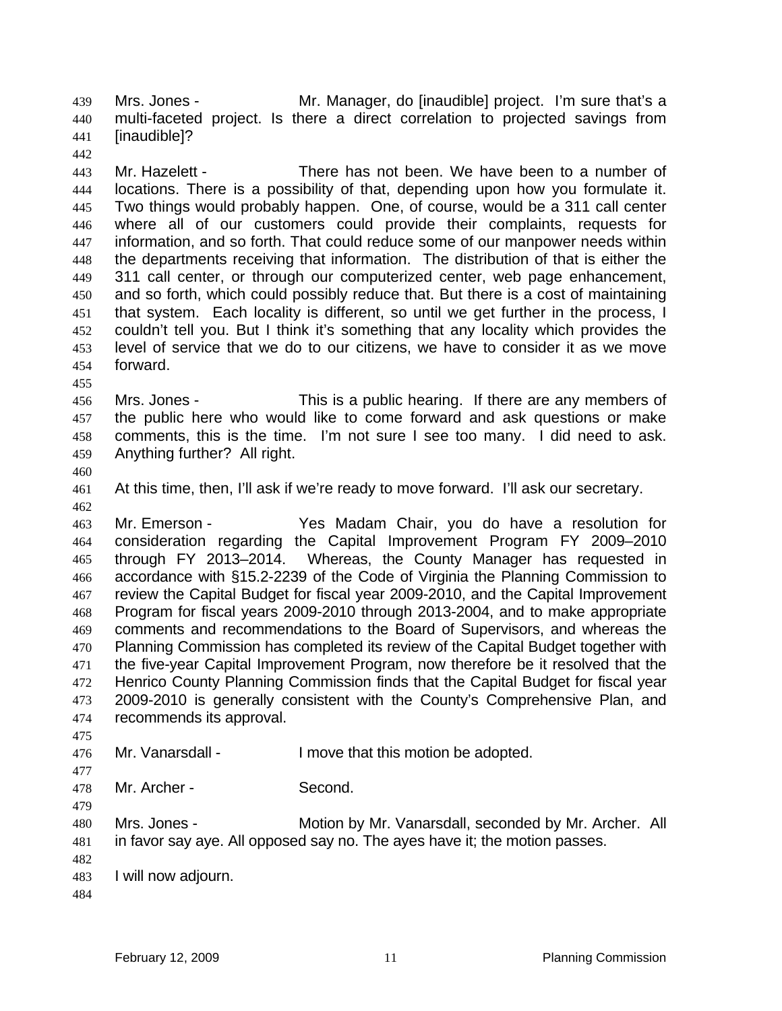Mrs. Jones - **Mr. Manager, do [inaudible]** project. I'm sure that's a multi-faceted project. Is there a direct correlation to projected savings from [inaudible]? 439 440 441 442

443 444 445 446 447 448 449 450 451 452 453 454 Mr. Hazelett - There has not been. We have been to a number of locations. There is a possibility of that, depending upon how you formulate it. Two things would probably happen. One, of course, would be a 311 call center where all of our customers could provide their complaints, requests for information, and so forth. That could reduce some of our manpower needs within the departments receiving that information. The distribution of that is either the 311 call center, or through our computerized center, web page enhancement, and so forth, which could possibly reduce that. But there is a cost of maintaining that system. Each locality is different, so until we get further in the process, I couldn't tell you. But I think it's something that any locality which provides the level of service that we do to our citizens, we have to consider it as we move forward.

- 456 457 458 459 Mrs. Jones - This is a public hearing. If there are any members of the public here who would like to come forward and ask questions or make comments, this is the time. I'm not sure I see too many. I did need to ask. Anything further? All right.
- 460

462

455

461 At this time, then, I'll ask if we're ready to move forward. I'll ask our secretary.

463 464 465 466 467 468 469 470 471 472 473 474 Mr. Emerson - Yes Madam Chair, you do have a resolution for consideration regarding the Capital Improvement Program FY 2009–2010 through FY 2013–2014. Whereas, the County Manager has requested in accordance with §15.2-2239 of the Code of Virginia the Planning Commission to review the Capital Budget for fiscal year 2009-2010, and the Capital Improvement Program for fiscal years 2009-2010 through 2013-2004, and to make appropriate comments and recommendations to the Board of Supervisors, and whereas the Planning Commission has completed its review of the Capital Budget together with the five-year Capital Improvement Program, now therefore be it resolved that the Henrico County Planning Commission finds that the Capital Budget for fiscal year 2009-2010 is generally consistent with the County's Comprehensive Plan, and recommends its approval.

- 476 Mr. Vanarsdall - I move that this motion be adopted.
- 478 Mr. Archer - Second.
- 479

475

477

480 481 Mrs. Jones - Motion by Mr. Vanarsdall, seconded by Mr. Archer. All in favor say aye. All opposed say no. The ayes have it; the motion passes.

- 482 483 I will now adjourn.
- 484